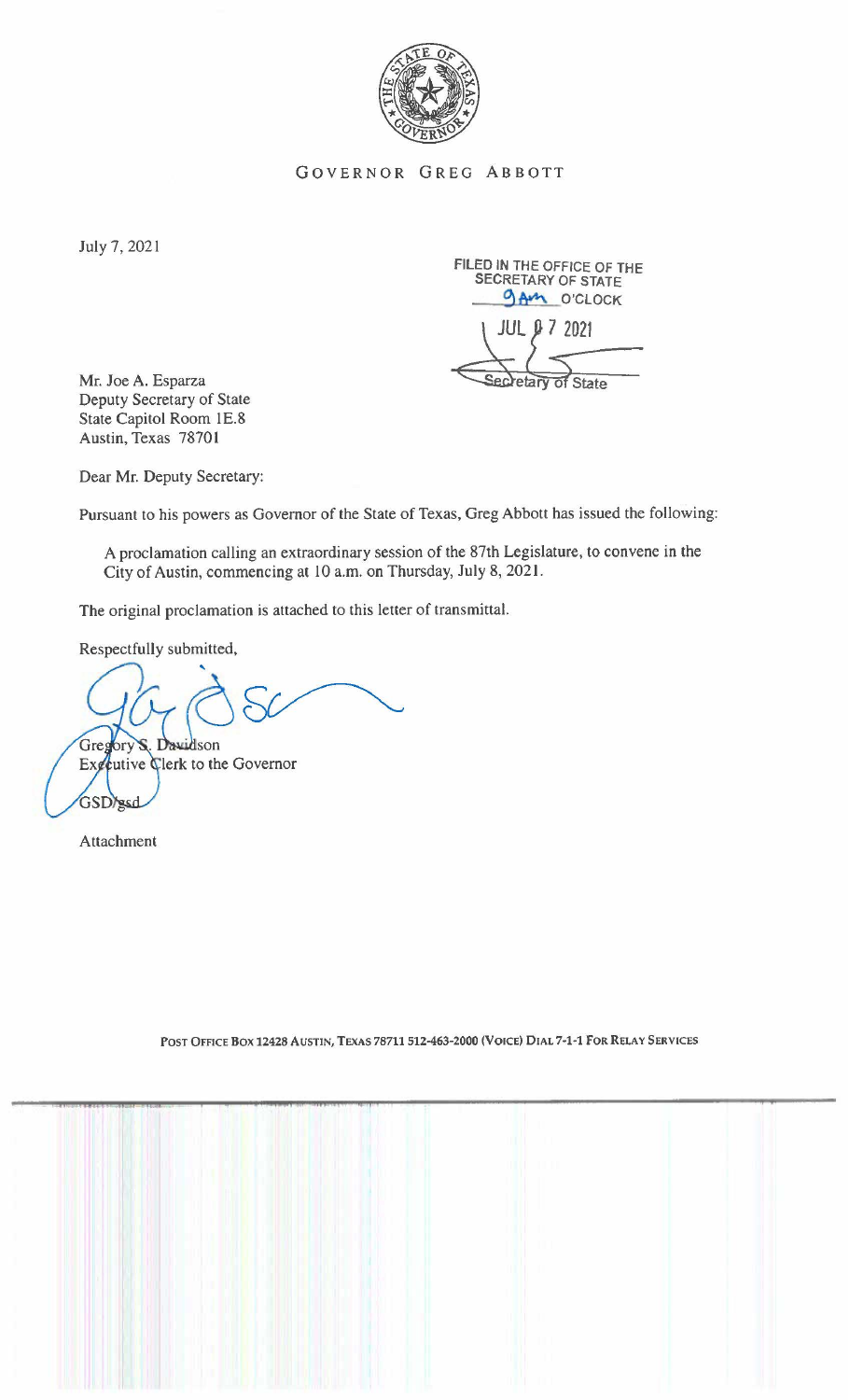

GOVERNOR GREG ABBOTT

July 7, 2021

FILED IN THE OFFICE OF THE SECRETARY OF STATE **9AM** O'CLOCK retary of State

**Mr.** Joe A. Esparza Deputy Secretary of State State Capitol Room lE.8 Austin, Texas 7870 **l** 

Dear Mr. Deputy Secretary:

Pursuant to his powers as Governor of the State of Texas, Greg Abbott has issued the following:

A proclamation calling an extraordinary session of the 87th Legislature, to convene in the City of Austin, commencing at 10 a.m. on Thursday, July 8, 2021.

The original proclamation is attached to this letter of transmittal.

Respectfully submitted,

Gregory S. Davidson Exceutive Clerk to the Governor GSD/gsd

Attachment

POST OFFICE BOX 12428 AUSTIN, TEXAS 78711 512-463-2000 (VOICE) DIAL 7-1-1 FOR RELAY SERVICES

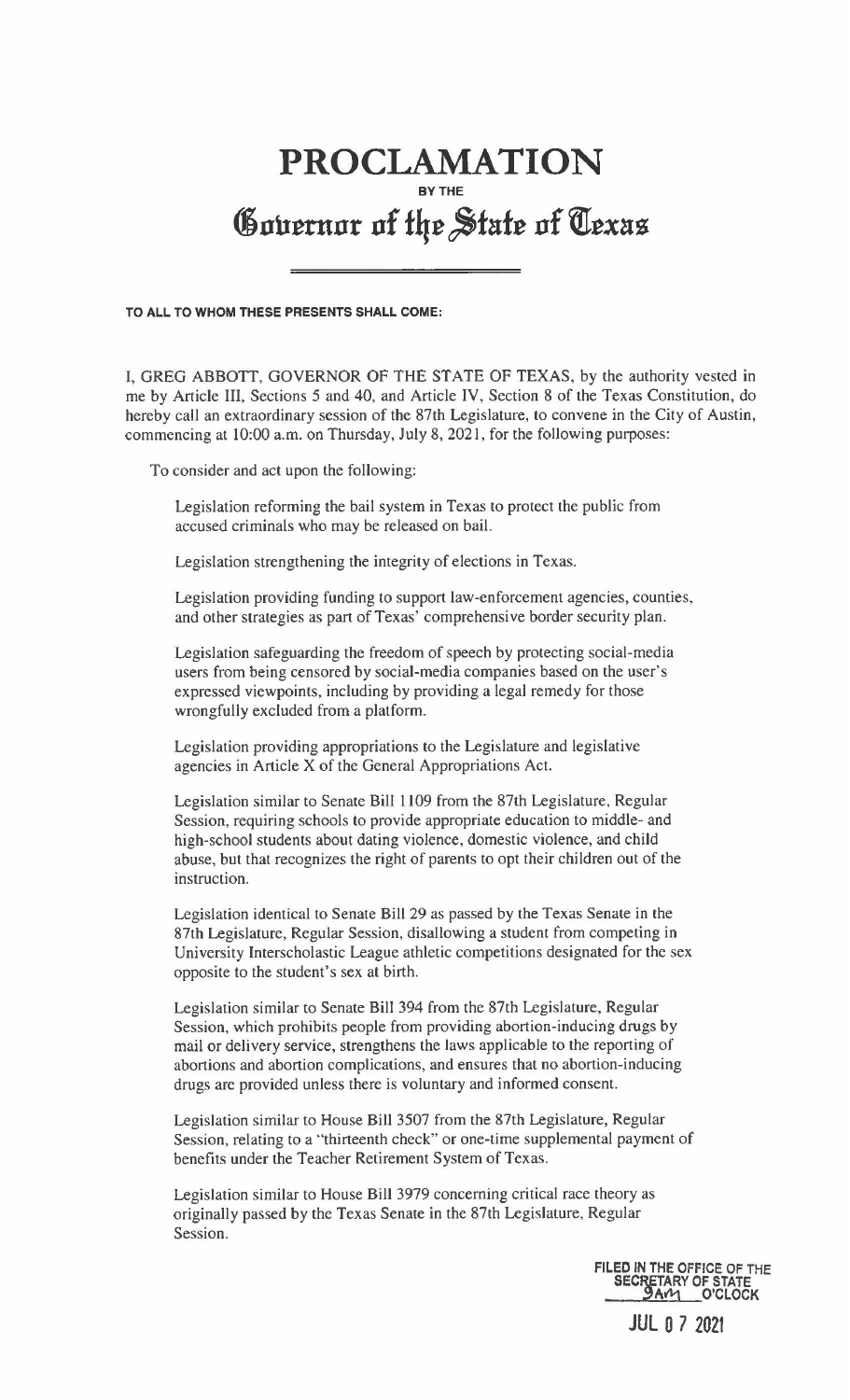## **PROCLAMATION BYTHE**  Governor of the State of Texas

**TO ALL TO WHOM THESE PRESENTS SHALL COME:** 

I, GREG ABBOTT, GOVERNOR OF THE STATE OF TEXAS, by the authority vested in me by Article III, Sections 5 and 40, and Article IV, Section 8 of the Texas Constitution, do hereby call an extraordinary session of the 87th Legislature, to convene in the City of Austin, commencing at 10:00 a.m. on Thursday, July 8, 2021, for the following purposes:

To consider and act upon the following:

Legislation reforming the bail system in Texas to protect the public from accused criminals who may be released on bail.

Legislation strengthening the integrity of elections in Texas.

Legislation providing funding to support law-enforcement agencies, counties, and other strategies as part of Texas' comprehensive border security plan.

Legislation safeguarding the freedom of speech by protecting social-media users from being censored by social-media companies based on the user's expressed viewpoints, including by providing a legal remedy for those wrongfully excluded from a platform.

Legislation providing appropriations to the Legislature and legislative agencies in Article X of the General Appropriations Act.

Legislation similar to Senate Bill 1109 from the 87th Legislature, Regular Session, requiring schools to provide appropriate education to middle- and high-school students about dating violence, domestic violence, and child abuse, but that recognizes the right of parents to opt their children out of the instruction.

Legislation identical to Senate Bill 29 as passed by the Texas Senate in the 87th Legislature, Regular Session, disallowing a student from competing in University Interscholastic League athletic competitions designated for the sex opposite to the student's sex at birth.

Legislation similar to Senate Bill 394 from the 87th Legislature, Regular Session, which prohibits people from providing abortion-inducing drugs by mail or delivery service, strengthens the laws applicable to the reporting of abortions and abortion complications, and ensures that no abortion-inducing drugs are provided unless there is voluntary and informed consent.

Legislation similar to House Bill 3507 from the 87th Legislature, Regular Session, relating to a "thirteenth check" or one-time supplemental payment of benefits under the Teacher Retirement System of Texas.

Legislation similar to House Bill 3979 concerning critical race theory as originally passed by the Texas Senate in the 87th Legislature, Regular Session.

> **FILEO IN THE OFFICE OF THE SECRETARY OF STATE**<br>**MM O'CLOCK**

> > JUL O 7 2021